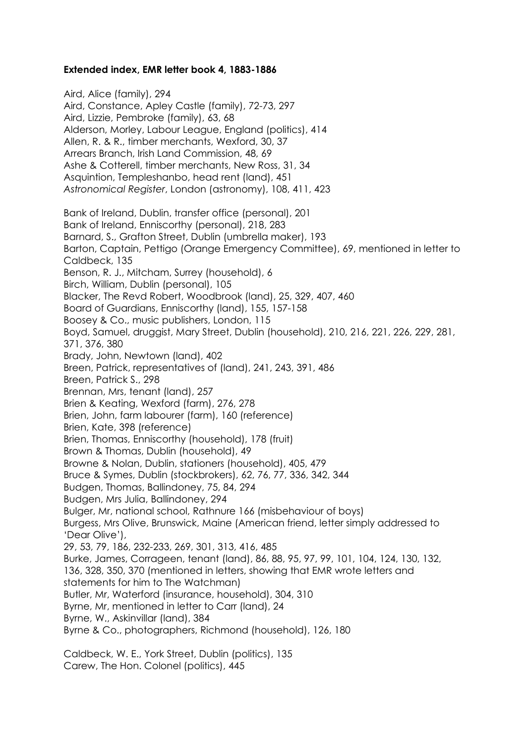## **Extended index, EMR letter book 4, 1883-1886**

Aird, Alice (family), 294 Aird, Constance, Apley Castle (family), 72-73, 297 Aird, Lizzie, Pembroke (family), 63, 68 Alderson, Morley, Labour League, England (politics), 414 Allen, R. & R., timber merchants, Wexford, 30, 37 Arrears Branch, Irish Land Commission, 48, 69 Ashe & Cotterell, timber merchants, New Ross, 31, 34 Asquintion, Templeshanbo, head rent (land), 451 *Astronomical Register*, London (astronomy), 108, 411, 423 Bank of Ireland, Dublin, transfer office (personal), 201 Bank of Ireland, Enniscorthy (personal), 218, 283 Barnard, S., Grafton Street, Dublin (umbrella maker), 193 Barton, Captain, Pettigo (Orange Emergency Committee), 69, mentioned in letter to Caldbeck, 135 Benson, R. J., Mitcham, Surrey (household), 6 Birch, William, Dublin (personal), 105 Blacker, The Revd Robert, Woodbrook (land), 25, 329, 407, 460 Board of Guardians, Enniscorthy (land), 155, 157-158 Boosey & Co., music publishers, London, 115 Boyd, Samuel, druggist, Mary Street, Dublin (household), 210, 216, 221, 226, 229, 281, 371, 376, 380 Brady, John, Newtown (land), 402 Breen, Patrick, representatives of (land), 241, 243, 391, 486 Breen, Patrick S., 298 Brennan, Mrs, tenant (land), 257 Brien & Keating, Wexford (farm), 276, 278 Brien, John, farm labourer (farm), 160 (reference) Brien, Kate, 398 (reference) Brien, Thomas, Enniscorthy (household), 178 (fruit) Brown & Thomas, Dublin (household), 49 Browne & Nolan, Dublin, stationers (household), 405, 479 Bruce & Symes, Dublin (stockbrokers), 62, 76, 77, 336, 342, 344 Budgen, Thomas, Ballindoney, 75, 84, 294 Budgen, Mrs Julia, Ballindoney, 294 Bulger, Mr, national school, Rathnure 166 (misbehaviour of boys) Burgess, Mrs Olive, Brunswick, Maine (American friend, letter simply addressed to 'Dear Olive'), 29, 53, 79, 186, 232-233, 269, 301, 313, 416, 485 Burke, James, Corrageen, tenant (land), 86, 88, 95, 97, 99, 101, 104, 124, 130, 132, 136, 328, 350, 370 (mentioned in letters, showing that EMR wrote letters and statements for him to The Watchman) Butler, Mr, Waterford (insurance, household), 304, 310 Byrne, Mr, mentioned in letter to Carr (land), 24 Byrne, W., Askinvillar (land), 384 Byrne & Co., photographers, Richmond (household), 126, 180 Caldbeck, W. E., York Street, Dublin (politics), 135

Carew, The Hon. Colonel (politics), 445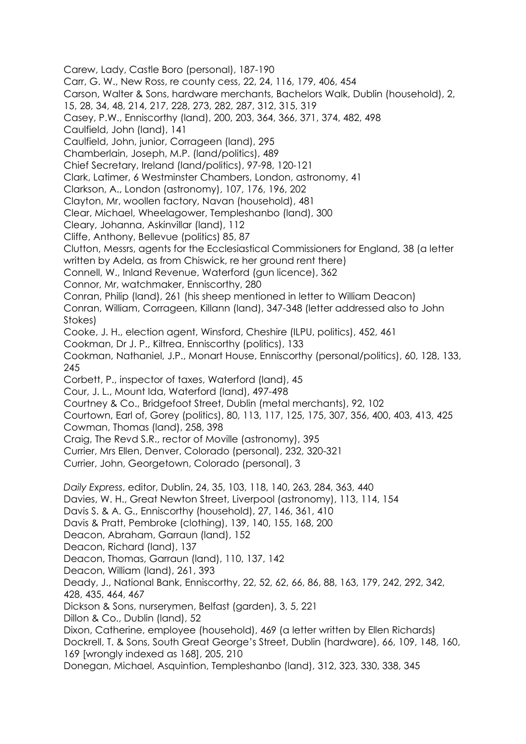Carew, Lady, Castle Boro (personal), 187-190 Carr, G. W., New Ross, re county cess, 22, 24, 116, 179, 406, 454 Carson, Walter & Sons, hardware merchants, Bachelors Walk, Dublin (household), 2, 15, 28, 34, 48, 214, 217, 228, 273, 282, 287, 312, 315, 319 Casey, P.W., Enniscorthy (land), 200, 203, 364, 366, 371, 374, 482, 498 Caulfield, John (land), 141 Caulfield, John, junior, Corrageen (land), 295 Chamberlain, Joseph, M.P. (land/politics), 489 Chief Secretary, Ireland (land/politics), 97-98, 120-121 Clark, Latimer, 6 Westminster Chambers, London, astronomy, 41 Clarkson, A., London (astronomy), 107, 176, 196, 202 Clayton, Mr, woollen factory, Navan (household), 481 Clear, Michael, Wheelagower, Templeshanbo (land), 300 Cleary, Johanna, Askinvillar (land), 112 Cliffe, Anthony, Bellevue (politics) 85, 87 Clutton, Messrs, agents for the Ecclesiastical Commissioners for England, 38 (a letter written by Adela, as from Chiswick, re her ground rent there) Connell, W., Inland Revenue, Waterford (gun licence), 362 Connor, Mr, watchmaker, Enniscorthy, 280 Conran, Philip (land), 261 (his sheep mentioned in letter to William Deacon) Conran, William, Corrageen, Killann (land), 347-348 (letter addressed also to John Stokes) Cooke, J. H., election agent, Winsford, Cheshire (ILPU, politics), 452, 461 Cookman, Dr J. P., Kiltrea, Enniscorthy (politics), 133 Cookman, Nathaniel, J.P., Monart House, Enniscorthy (personal/politics), 60, 128, 133, 245 Corbett, P., inspector of taxes, Waterford (land), 45 Cour, J. L., Mount Ida, Waterford (land), 497-498 Courtney & Co., Bridgefoot Street, Dublin (metal merchants), 92, 102 Courtown, Earl of, Gorey (politics), 80, 113, 117, 125, 175, 307, 356, 400, 403, 413, 425 Cowman, Thomas (land), 258, 398 Craig, The Revd S.R., rector of Moville (astronomy), 395 Currier, Mrs Ellen, Denver, Colorado (personal), 232, 320-321 Currier, John, Georgetown, Colorado (personal), 3 *Daily Express*, editor, Dublin, 24, 35, 103, 118, 140, 263, 284, 363, 440 Davies, W. H., Great Newton Street, Liverpool (astronomy), 113, 114, 154 Davis S. & A. G., Enniscorthy (household), 27, 146, 361, 410 Davis & Pratt, Pembroke (clothing), 139, 140, 155, 168, 200 Deacon, Abraham, Garraun (land), 152 Deacon, Richard (land), 137 Deacon, Thomas, Garraun (land), 110, 137, 142 Deacon, William (land), 261, 393 Deady, J., National Bank, Enniscorthy, 22, 52, 62, 66, 86, 88, 163, 179, 242, 292, 342, 428, 435, 464, 467 Dickson & Sons, nurserymen, Belfast (garden), 3, 5, 221 Dillon & Co., Dublin (land), 52 Dixon, Catherine, employee (household), 469 (a letter written by Ellen Richards) Dockrell, T. & Sons, South Great George's Street, Dublin (hardware), 66, 109, 148, 160, 169 [wrongly indexed as 168], 205, 210 Donegan, Michael, Asquintion, Templeshanbo (land), 312, 323, 330, 338, 345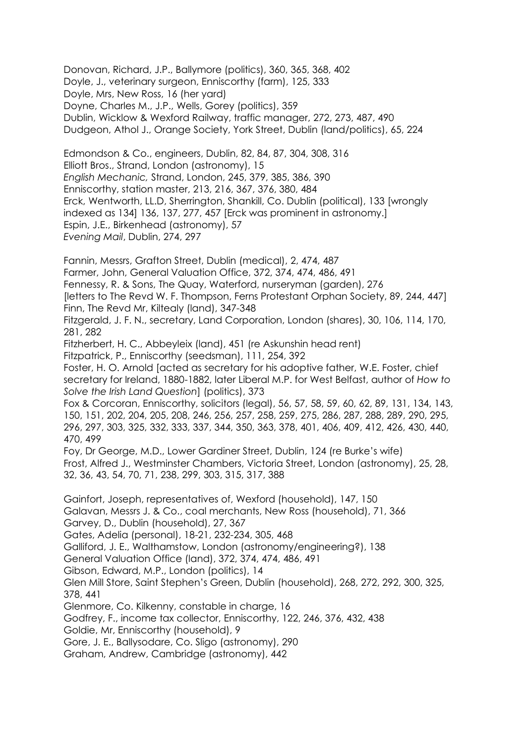Donovan, Richard, J.P., Ballymore (politics), 360, 365, 368, 402 Doyle, J., veterinary surgeon, Enniscorthy (farm), 125, 333 Doyle, Mrs, New Ross, 16 (her yard) Doyne, Charles M., J.P., Wells, Gorey (politics), 359 Dublin, Wicklow & Wexford Railway, traffic manager, 272, 273, 487, 490 Dudgeon, Athol J., Orange Society, York Street, Dublin (land/politics), 65, 224

Edmondson & Co., engineers, Dublin, 82, 84, 87, 304, 308, 316 Elliott Bros., Strand, London (astronomy), 15 *English Mechanic,* Strand, London, 245, 379, 385, 386, 390 Enniscorthy, station master, 213, 216, 367, 376, 380, 484 Erck, Wentworth, LL.D, Sherrington, Shankill, Co. Dublin (political), 133 [wrongly indexed as 134] 136, 137, 277, 457 [Erck was prominent in astronomy.] Espin, J.E., Birkenhead (astronomy), 57 *Evening Mail*, Dublin, 274, 297

Fannin, Messrs, Grafton Street, Dublin (medical), 2, 474, 487 Farmer, John, General Valuation Office, 372, 374, 474, 486, 491 Fennessy, R. & Sons, The Quay, Waterford, nurseryman (garden), 276 [letters to The Revd W. F. Thompson, Ferns Protestant Orphan Society, 89, 244, 447] Finn, The Revd Mr, Kiltealy (land), 347-348 Fitzgerald, J. F. N., secretary, Land Corporation, London (shares), 30, 106, 114, 170, 281, 282 Fitzherbert, H. C., Abbeyleix (land), 451 (re Askunshin head rent) Fitzpatrick, P., Enniscorthy (seedsman), 111, 254, 392 Foster, H. O. Arnold [acted as secretary for his adoptive father, W.E. Foster, chief secretary for Ireland, 1880-1882, later Liberal M.P. for West Belfast, author of *How to Solve the Irish Land Question*] (politics), 373 Fox & Corcoran, Enniscorthy, solicitors (legal), 56, 57, 58, 59, 60, 62, 89, 131, 134, 143, 150, 151, 202, 204, 205, 208, 246, 256, 257, 258, 259, 275, 286, 287, 288, 289, 290, 295, 296, 297, 303, 325, 332, 333, 337, 344, 350, 363, 378, 401, 406, 409, 412, 426, 430, 440, 470, 499 Foy, Dr George, M.D., Lower Gardiner Street, Dublin, 124 (re Burke's wife) Frost, Alfred J., Westminster Chambers, Victoria Street, London (astronomy), 25, 28, 32, 36, 43, 54, 70, 71, 238, 299, 303, 315, 317, 388 Gainfort, Joseph, representatives of, Wexford (household), 147, 150 Galavan, Messrs J. & Co., coal merchants, New Ross (household), 71, 366 Garvey, D., Dublin (household), 27, 367 Gates, Adelia (personal), 18-21, 232-234, 305, 468 Galliford, J. E., Walthamstow, London (astronomy/engineering?), 138 General Valuation Office (land), 372, 374, 474, 486, 491 Gibson, Edward, M.P., London (politics), 14 Glen Mill Store, Saint Stephen's Green, Dublin (household), 268, 272, 292, 300, 325, 378, 441 Glenmore, Co. Kilkenny, constable in charge, 16 Godfrey, F., income tax collector, Enniscorthy, 122, 246, 376, 432, 438 Goldie, Mr, Enniscorthy (household), 9 Gore, J. E., Ballysodare, Co. Sligo (astronomy), 290

Graham, Andrew, Cambridge (astronomy), 442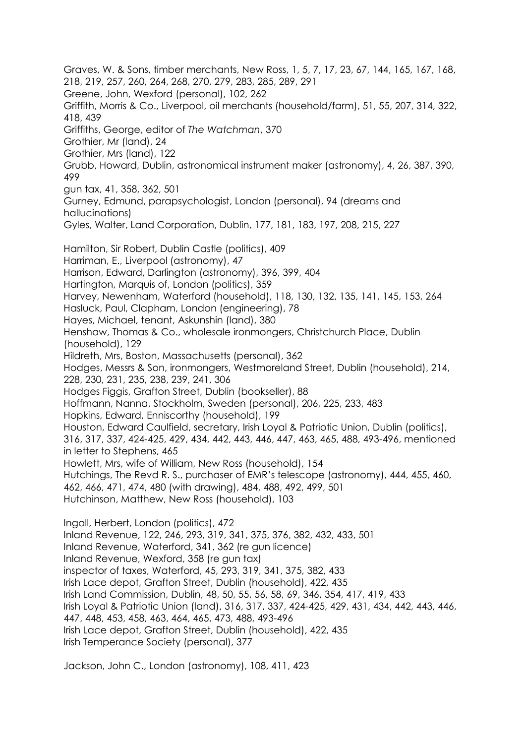Graves, W. & Sons, timber merchants, New Ross, 1, 5, 7, 17, 23, 67, 144, 165, 167, 168, 218, 219, 257, 260, 264, 268, 270, 279, 283, 285, 289, 291 Greene, John, Wexford (personal), 102, 262 Griffith, Morris & Co., Liverpool, oil merchants (household/farm), 51, 55, 207, 314, 322, 418, 439 Griffiths, George, editor of *The Watchman*, 370 Grothier, Mr (land), 24 Grothier, Mrs (land), 122 Grubb, Howard, Dublin, astronomical instrument maker (astronomy), 4, 26, 387, 390, 499 gun tax, 41, 358, 362, 501 Gurney, Edmund, parapsychologist, London (personal), 94 (dreams and hallucinations) Gyles, Walter, Land Corporation, Dublin, 177, 181, 183, 197, 208, 215, 227 Hamilton, Sir Robert, Dublin Castle (politics), 409 Harriman, E., Liverpool (astronomy), 47 Harrison, Edward, Darlington (astronomy), 396, 399, 404 Hartington, Marquis of, London (politics), 359 Harvey, Newenham, Waterford (household), 118, 130, 132, 135, 141, 145, 153, 264 Hasluck, Paul, Clapham, London (engineering), 78 Hayes, Michael, tenant, Askunshin (land), 380 Henshaw, Thomas & Co., wholesale ironmongers, Christchurch Place, Dublin (household), 129 Hildreth, Mrs, Boston, Massachusetts (personal), 362 Hodges, Messrs & Son, ironmongers, Westmoreland Street, Dublin (household), 214, 228, 230, 231, 235, 238, 239, 241, 306 Hodges Figgis, Grafton Street, Dublin (bookseller), 88 Hoffmann, Nanna, Stockholm, Sweden (personal), 206, 225, 233, 483 Hopkins, Edward, Enniscorthy (household), 199 Houston, Edward Caulfield, secretary, Irish Loyal & Patriotic Union, Dublin (politics), 316, 317, 337, 424-425, 429, 434, 442, 443, 446, 447, 463, 465, 488, 493-496, mentioned in letter to Stephens, 465 Howlett, Mrs, wife of William, New Ross (household), 154 Hutchings, The Revd R. S., purchaser of EMR's telescope (astronomy), 444, 455, 460, 462, 466, 471, 474, 480 (with drawing), 484, 488, 492, 499, 501 Hutchinson, Matthew, New Ross (household), 103 Ingall, Herbert, London (politics), 472 Inland Revenue, 122, 246, 293, 319, 341, 375, 376, 382, 432, 433, 501 Inland Revenue, Waterford, 341, 362 (re gun licence) Inland Revenue, Wexford, 358 (re gun tax) inspector of taxes, Waterford, 45, 293, 319, 341, 375, 382, 433 Irish Lace depot, Grafton Street, Dublin (household), 422, 435 Irish Land Commission, Dublin, 48, 50, 55, 56, 58, 69, 346, 354, 417, 419, 433 Irish Loyal & Patriotic Union (land), 316, 317, 337, 424-425, 429, 431, 434, 442, 443, 446, 447, 448, 453, 458, 463, 464, 465, 473, 488, 493-496 Irish Lace depot, Grafton Street, Dublin (household), 422, 435 Irish Temperance Society (personal), 377

Jackson, John C., London (astronomy), 108, 411, 423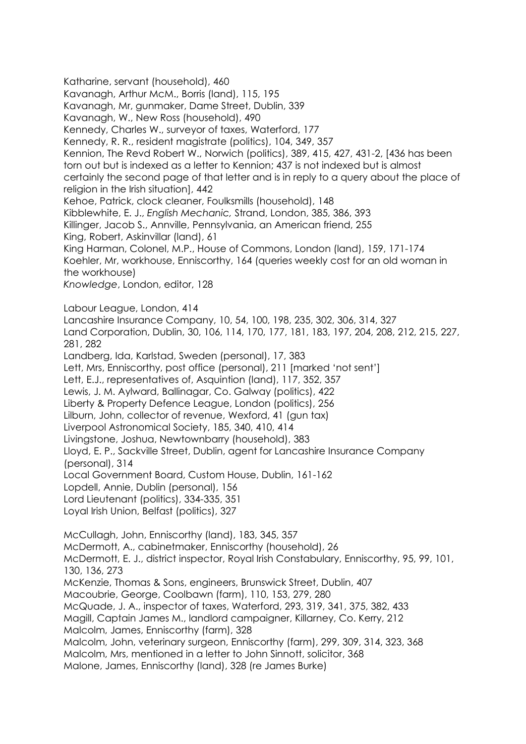Katharine, servant (household), 460 Kavanagh, Arthur McM., Borris (land), 115, 195 Kavanagh, Mr, gunmaker, Dame Street, Dublin, 339 Kavanagh, W., New Ross (household), 490 Kennedy, Charles W., surveyor of taxes, Waterford, 177 Kennedy, R. R., resident magistrate (politics), 104, 349, 357 Kennion, The Revd Robert W., Norwich (politics), 389, 415, 427, 431-2, [436 has been torn out but is indexed as a letter to Kennion; 437 is not indexed but is almost certainly the second page of that letter and is in reply to a query about the place of religion in the Irish situation], 442 Kehoe, Patrick, clock cleaner, Foulksmills (household), 148 Kibblewhite, E. J., *English Mechanic,* Strand, London, 385, 386, 393 Killinger, Jacob S., Annville, Pennsylvania, an American friend, 255 King, Robert, Askinvillar (land), 61 King Harman, Colonel, M.P., House of Commons, London (land), 159, 171-174 Koehler, Mr, workhouse, Enniscorthy, 164 (queries weekly cost for an old woman in the workhouse) *Knowledge*, London, editor, 128 Labour League, London, 414 Lancashire Insurance Company, 10, 54, 100, 198, 235, 302, 306, 314, 327 Land Corporation, Dublin, 30, 106, 114, 170, 177, 181, 183, 197, 204, 208, 212, 215, 227, 281, 282 Landberg, Ida, Karlstad, Sweden (personal), 17, 383 Lett, Mrs, Enniscorthy, post office (personal), 211 [marked 'not sent'] Lett, E.J., representatives of, Asquintion (land), 117, 352, 357 Lewis, J. M. Aylward, Ballinagar, Co. Galway (politics), 422 Liberty & Property Defence League, London (politics), 256 Lilburn, John, collector of revenue, Wexford, 41 (gun tax) Liverpool Astronomical Society, 185, 340, 410, 414 Livingstone, Joshua, Newtownbarry (household), 383 Lloyd, E. P., Sackville Street, Dublin, agent for Lancashire Insurance Company (personal), 314 Local Government Board, Custom House, Dublin, 161-162 Lopdell, Annie, Dublin (personal), 156 Lord Lieutenant (politics), 334-335, 351 Loyal Irish Union, Belfast (politics), 327 McCullagh, John, Enniscorthy (land), 183, 345, 357 McDermott, A., cabinetmaker, Enniscorthy (household), 26 McDermott, E. J., district inspector, Royal Irish Constabulary, Enniscorthy, 95, 99, 101, 130, 136, 273 McKenzie, Thomas & Sons, engineers, Brunswick Street, Dublin, 407 Macoubrie, George, Coolbawn (farm), 110, 153, 279, 280 McQuade, J. A., inspector of taxes, Waterford, 293, 319, 341, 375, 382, 433 Magill, Captain James M., landlord campaigner, Killarney, Co. Kerry, 212 Malcolm, James, Enniscorthy (farm), 328 Malcolm, John, veterinary surgeon, Enniscorthy (farm), 299, 309, 314, 323, 368 Malcolm, Mrs, mentioned in a letter to John Sinnott, solicitor, 368 Malone, James, Enniscorthy (land), 328 (re James Burke)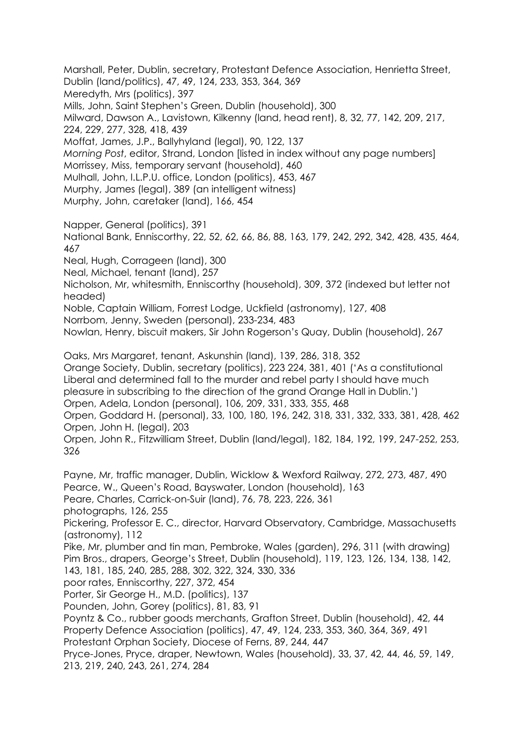Marshall, Peter, Dublin, secretary, Protestant Defence Association, Henrietta Street, Dublin (land/politics), 47, 49, 124, 233, 353, 364, 369 Meredyth, Mrs (politics), 397 Mills, John, Saint Stephen's Green, Dublin (household), 300 Milward, Dawson A., Lavistown, Kilkenny (land, head rent), 8, 32, 77, 142, 209, 217, 224, 229, 277, 328, 418, 439 Moffat, James, J.P., Ballyhyland (legal), 90, 122, 137 *Morning Post*, editor, Strand, London [listed in index without any page numbers] Morrissey, Miss, temporary servant (household), 460 Mulhall, John, I.L.P.U. office, London (politics), 453, 467 Murphy, James (legal), 389 (an intelligent witness) Murphy, John, caretaker (land), 166, 454

Napper, General (politics), 391 National Bank, Enniscorthy, 22, 52, 62, 66, 86, 88, 163, 179, 242, 292, 342, 428, 435, 464, 467 Neal, Hugh, Corrageen (land), 300 Neal, Michael, tenant (land), 257 Nicholson, Mr, whitesmith, Enniscorthy (household), 309, 372 (indexed but letter not headed) Noble, Captain William, Forrest Lodge, Uckfield (astronomy), 127, 408 Norrbom, Jenny, Sweden (personal), 233-234, 483 Nowlan, Henry, biscuit makers, Sir John Rogerson's Quay, Dublin (household), 267

Oaks, Mrs Margaret, tenant, Askunshin (land), 139, 286, 318, 352 Orange Society, Dublin, secretary (politics), 223 224, 381, 401 ('As a constitutional Liberal and determined fall to the murder and rebel party I should have much pleasure in subscribing to the direction of the grand Orange Hall in Dublin.') Orpen, Adela, London (personal), 106, 209, 331, 333, 355, 468 Orpen, Goddard H. (personal), 33, 100, 180, 196, 242, 318, 331, 332, 333, 381, 428, 462 Orpen, John H. (legal), 203 Orpen, John R., Fitzwilliam Street, Dublin (land/legal), 182, 184, 192, 199, 247-252, 253,

Payne, Mr, traffic manager, Dublin, Wicklow & Wexford Railway, 272, 273, 487, 490 Pearce, W., Queen's Road, Bayswater, London (household), 163 Peare, Charles, Carrick-on-Suir (land), 76, 78, 223, 226, 361 photographs, 126, 255 Pickering, Professor E. C., director, Harvard Observatory, Cambridge, Massachusetts (astronomy), 112 Pike, Mr, plumber and tin man, Pembroke, Wales (garden), 296, 311 (with drawing) Pim Bros., drapers, George's Street, Dublin (household), 119, 123, 126, 134, 138, 142, 143, 181, 185, 240, 285, 288, 302, 322, 324, 330, 336 poor rates, Enniscorthy, 227, 372, 454 Porter, Sir George H., M.D. (politics), 137

Pounden, John, Gorey (politics), 81, 83, 91

326

Poyntz & Co., rubber goods merchants, Grafton Street, Dublin (household), 42, 44 Property Defence Association (politics), 47, 49, 124, 233, 353, 360, 364, 369, 491

Protestant Orphan Society, Diocese of Ferns, 89, 244, 447

Pryce-Jones, Pryce, draper, Newtown, Wales (household), 33, 37, 42, 44, 46, 59, 149, 213, 219, 240, 243, 261, 274, 284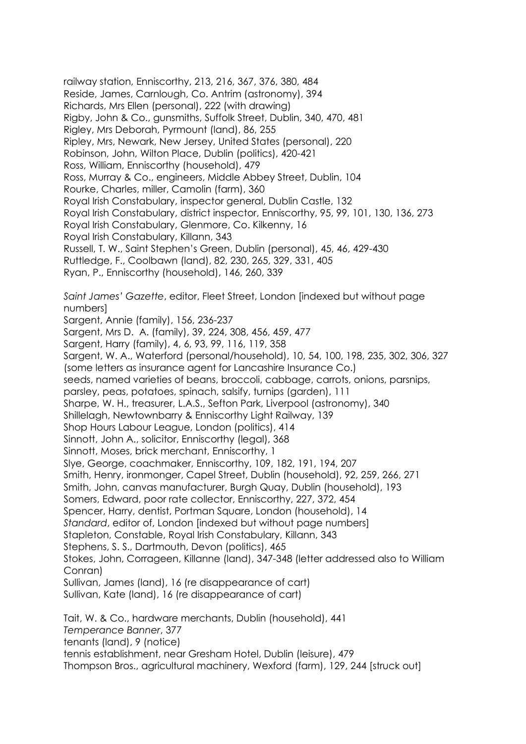railway station, Enniscorthy, 213, 216, 367, 376, 380, 484 Reside, James, Carnlough, Co. Antrim (astronomy), 394 Richards, Mrs Ellen (personal), 222 (with drawing) Rigby, John & Co., gunsmiths, Suffolk Street, Dublin, 340, 470, 481 Rigley, Mrs Deborah, Pyrmount (land), 86, 255 Ripley, Mrs, Newark, New Jersey, United States (personal), 220 Robinson, John, Wilton Place, Dublin (politics), 420-421 Ross, William, Enniscorthy (household), 479 Ross, Murray & Co., engineers, Middle Abbey Street, Dublin, 104 Rourke, Charles, miller, Camolin (farm), 360 Royal Irish Constabulary, inspector general, Dublin Castle, 132 Royal Irish Constabulary, district inspector, Enniscorthy, 95, 99, 101, 130, 136, 273 Royal Irish Constabulary, Glenmore, Co. Kilkenny, 16 Royal Irish Constabulary, Killann, 343 Russell, T. W., Saint Stephen's Green, Dublin (personal), 45, 46, 429-430 Ruttledge, F., Coolbawn (land), 82, 230, 265, 329, 331, 405 Ryan, P., Enniscorthy (household), 146, 260, 339 *Saint James' Gazette*, editor, Fleet Street, London [indexed but without page numbers] Sargent, Annie (family), 156, 236-237 Sargent, Mrs D. A. (family), 39, 224, 308, 456, 459, 477 Sargent, Harry (family), 4, 6, 93, 99, 116, 119, 358 Sargent, W. A., Waterford (personal/household), 10, 54, 100, 198, 235, 302, 306, 327 (some letters as insurance agent for Lancashire Insurance Co.) seeds, named varieties of beans, broccoli, cabbage, carrots, onions, parsnips, parsley, peas, potatoes, spinach, salsify, turnips (garden), 111 Sharpe, W. H., treasurer, L.A.S., Sefton Park, Liverpool (astronomy), 340 Shillelagh, Newtownbarry & Enniscorthy Light Railway, 139 Shop Hours Labour League, London (politics), 414 Sinnott, John A., solicitor, Enniscorthy (legal), 368 Sinnott, Moses, brick merchant, Enniscorthy, 1 Slye, George, coachmaker, Enniscorthy, 109, 182, 191, 194, 207 Smith, Henry, ironmonger, Capel Street, Dublin (household), 92, 259, 266, 271 Smith, John, canvas manufacturer, Burgh Quay, Dublin (household), 193 Somers, Edward, poor rate collector, Enniscorthy, 227, 372, 454 Spencer, Harry, dentist, Portman Square, London (household), 14 *Standard*, editor of, London [indexed but without page numbers] Stapleton, Constable, Royal Irish Constabulary, Killann, 343 Stephens, S. S., Dartmouth, Devon (politics), 465 Stokes, John, Corrageen, Killanne (land), 347-348 (letter addressed also to William Conran) Sullivan, James (land), 16 (re disappearance of cart) Sullivan, Kate (land), 16 (re disappearance of cart) Tait, W. & Co., hardware merchants, Dublin (household), 441 *Temperance Banner*, 377 tenants (land), 9 (notice) tennis establishment, near Gresham Hotel, Dublin (leisure), 479

Thompson Bros., agricultural machinery, Wexford (farm), 129, 244 [struck out]